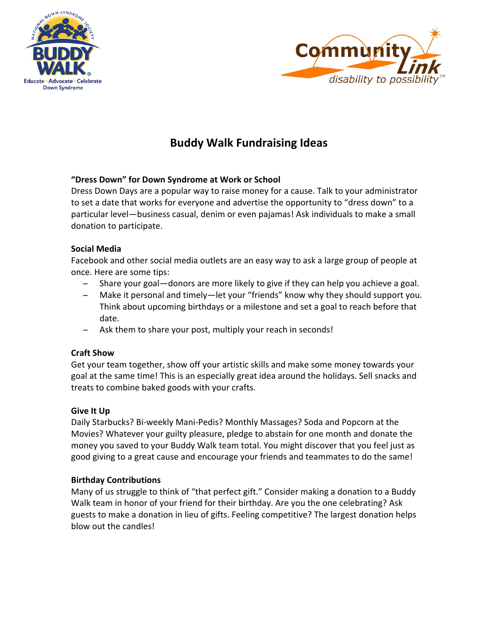



# **Buddy Walk Fundraising Ideas**

## **"Dress Down" for Down Syndrome at Work or School**

Dress Down Days are a popular way to raise money for a cause. Talk to your administrator to set a date that works for everyone and advertise the opportunity to "dress down" to a particular level—business casual, denim or even pajamas! Ask individuals to make a small donation to participate.

## **Social Media**

Facebook and other social media outlets are an easy way to ask a large group of people at once. Here are some tips:

- ̶ Share your goal—donors are more likely to give if they can help you achieve a goal.
- ̶ Make it personal and timely—let your "friends" know why they should support you. Think about upcoming birthdays or a milestone and set a goal to reach before that date.
- ̶ Ask them to share your post, multiply your reach in seconds!

# **Craft Show**

Get your team together, show off your artistic skills and make some money towards your goal at the same time! This is an especially great idea around the holidays. Sell snacks and treats to combine baked goods with your crafts.

## **Give It Up**

Daily Starbucks? Bi‐weekly Mani‐Pedis? Monthly Massages? Soda and Popcorn at the Movies? Whatever your guilty pleasure, pledge to abstain for one month and donate the money you saved to your Buddy Walk team total. You might discover that you feel just as good giving to a great cause and encourage your friends and teammates to do the same!

# **Birthday Contributions**

Many of us struggle to think of "that perfect gift." Consider making a donation to a Buddy Walk team in honor of your friend for their birthday. Are you the one celebrating? Ask guests to make a donation in lieu of gifts. Feeling competitive? The largest donation helps blow out the candles!